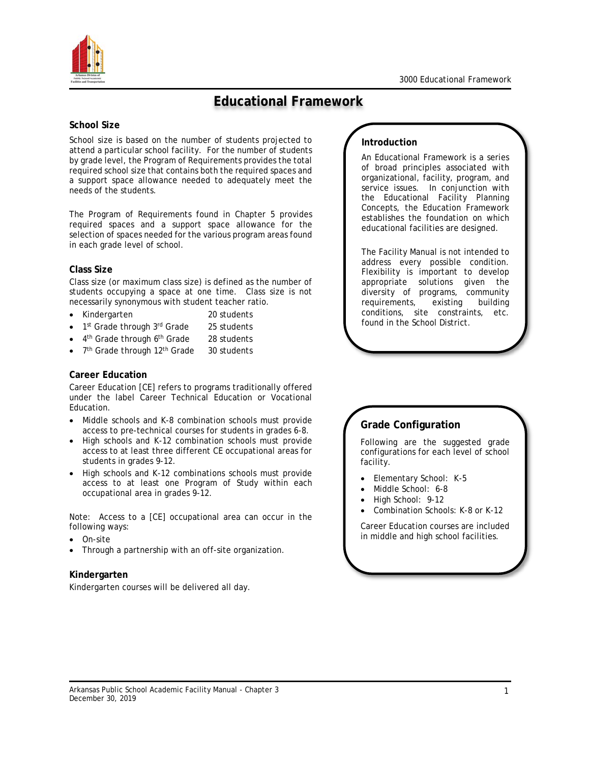

# **Educational Framework**

#### **School Size**

School size is based on the number of students projected to attend a particular school facility. For the number of students by grade level, the Program of Requirements provides the total required school size that contains both the required spaces and a support space allowance needed to adequately meet the needs of the students.

The Program of Requirements found in Chapter 5 provides required spaces and a support space allowance for the selection of spaces needed for the various program areas found in each grade level of school.

### **Class Size**

Class size (or maximum class size) is defined as the number of students occupying a space at one time. Class size is not necessarily synonymous with student teacher ratio.

- Kindergarten 20 students
- 1<sup>st</sup> Grade through 3<sup>rd</sup> Grade 25 students
- 4<sup>th</sup> Grade through 6<sup>th</sup> Grade 28 students
- 7<sup>th</sup> Grade through 12<sup>th</sup> Grade 30 students

### **Career Education**

Career Education [CE] refers to programs traditionally offered under the label Career Technical Education or Vocational Education.

- Middle schools and K-8 combination schools must provide access to pre-technical courses for students in grades 6-8.
- High schools and K-12 combination schools must provide access to at least three different CE occupational areas for students in grades 9-12.
- High schools and K-12 combinations schools must provide access to at least one Program of Study within each occupational area in grades 9-12.

Note: Access to a [CE] occupational area can occur in the following ways:

- On-site
- Through a partnership with an off-site organization.

### **Kindergarten**

Kindergarten courses will be delivered all day.

## **Introduction**

An Educational Framework is a series of broad principles associated with organizational, facility, program, and service issues. In conjunction with the Educational Facility Planning Concepts, the Education Framework establishes the foundation on which educational facilities are designed.

The Facility Manual is not intended to address every possible condition. Flexibility is important to develop appropriate solutions given the diversity of programs, community requirements, existing building conditions, site constraints, etc. found in the School District.

# **Grade Configuration**

Following are the suggested grade configurations for each level of school facility.

- Elementary School: K-5
- Middle School: 6-8
- High School: 9-12
- Combination Schools: K-8 or K-12

Career Education courses are included in middle and high school facilities.